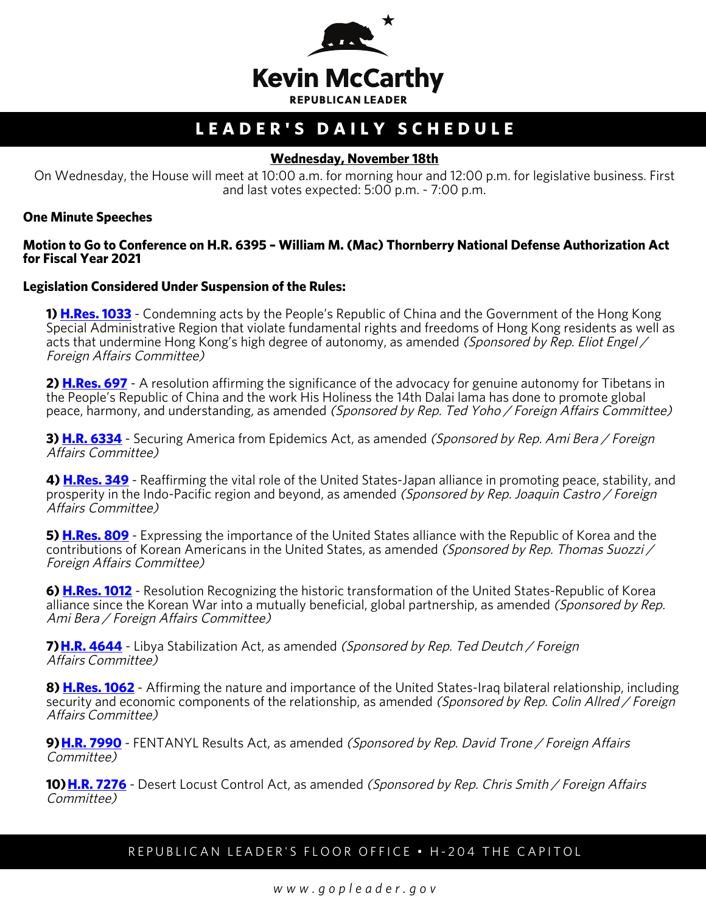

# **LEADER'S DAILY SCHEDULE**

#### **Wednesday, November 18th**

On Wednesday, the House will meet at 10:00 a.m. for morning hour and 12:00 p.m. for legislative business. First and last votes expected: 5:00 p.m. - 7:00 p.m.

#### **One Minute Speeches**

#### **Motion to Go to Conference on H.R. 6395 – William M. (Mac) Thornberry National Defense Authorization Act for Fiscal Year 2021**

#### **Legislation Considered Under Suspension of the Rules:**

**1) [H.Res. 1033](http://docs.house.gov/billsthisweek/20201116/BILLS-116hres1033-SUS.pdf)** - Condemning acts by the People's Republic of China and the Government of the Hong Kong Special Administrative Region that violate fundamental rights and freedoms of Hong Kong residents as well as acts that undermine Hong Kong's high degree of autonomy, as amended (Sponsored by Rep. Eliot Engel / Foreign Affairs Committee)

**2) [H.Res. 697](http://docs.house.gov/billsthisweek/20201116/BILLS-116hres697-SUS.pdf)** - A resolution affirming the significance of the advocacy for genuine autonomy for Tibetans in the People's Republic of China and the work His Holiness the 14th Dalai lama has done to promote global peace, harmony, and understanding, as amended (Sponsored by Rep. Ted Yoho / Foreign Affairs Committee)

**3) [H.R. 6334](http://docs.house.gov/billsthisweek/20201116/BILLS-116hr6334-SUS.pdf)** - Securing America from Epidemics Act, as amended (Sponsored by Rep. Ami Bera / Foreign Affairs Committee)

**4) [H.Res. 349](http://docs.house.gov/billsthisweek/20201116/BILLS-116hres349-SUS.pdf)** - Reaffirming the vital role of the United States-Japan alliance in promoting peace, stability, and prosperity in the Indo-Pacific region and beyond, as amended (Sponsored by Rep. Joaquin Castro / Foreign Affairs Committee)

**5) [H.Res. 809](http://docs.house.gov/billsthisweek/20201116/BILLS-116hres809-SUS.pdf)** - Expressing the importance of the United States alliance with the Republic of Korea and the contributions of Korean Americans in the United States, as amended (Sponsored by Rep. Thomas Suozzi / Foreign Affairs Committee)

**6) [H.Res. 1012](http://docs.house.gov/billsthisweek/20201116/BILLS-116hres1012-SUS.pdf)** - Resolution Recognizing the historic transformation of the United States-Republic of Korea alliance since the Korean War into a mutually beneficial, global partnership, as amended *(Sponsored by Rep.*) Ami Bera / Foreign Affairs Committee)

**7) [H.R. 4644](https://docs.house.gov/billsthisweek/20201116/BILLS-116hr4644-SUSv1.pdf)** - Libya Stabilization Act, as amended (Sponsored by Rep. Ted Deutch / Foreign Affairs Committee)

**8) [H.Res. 1062](http://docs.house.gov/billsthisweek/20201116/BILLS-116hres1062-SUS.pdf)** - Affirming the nature and importance of the United States-Iraq bilateral relationship, including security and economic components of the relationship, as amended (Sponsored by Rep. Colin Allred / Foreign Affairs Committee)

**9) <b>H.R. 7990** - FENTANYL Results Act, as amended (Sponsored by Rep. David Trone / Foreign Affairs Committee)

**10) [H.R. 7276](https://docs.house.gov/billsthisweek/20201116/BILLS-116hr7276-SUS.pdf)** - Desert Locust Control Act, as amended (Sponsored by Rep. Chris Smith / Foreign Affairs Committee)

### REPUBLICAN LEADER'S FLOOR OFFICE • H-204 THE CAPITOL